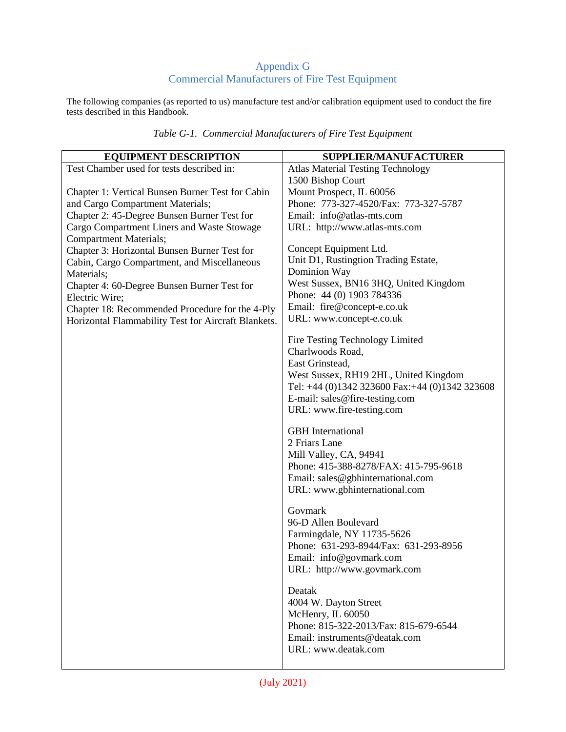## Appendix G Commercial Manufacturers of Fire Test Equipment

The following companies (as reported to us) manufacture test and/or calibration equipment used to conduct the fire tests described in this Handbook.

| <b>EQUIPMENT DESCRIPTION</b>                        | SUPPLIER/MANUFACTURER                                      |
|-----------------------------------------------------|------------------------------------------------------------|
| Test Chamber used for tests described in:           | <b>Atlas Material Testing Technology</b>                   |
|                                                     | 1500 Bishop Court                                          |
| Chapter 1: Vertical Bunsen Burner Test for Cabin    | Mount Prospect, IL 60056                                   |
| and Cargo Compartment Materials;                    | Phone: 773-327-4520/Fax: 773-327-5787                      |
| Chapter 2: 45-Degree Bunsen Burner Test for         | Email: info@atlas-mts.com                                  |
| Cargo Compartment Liners and Waste Stowage          | URL: http://www.atlas-mts.com                              |
| <b>Compartment Materials;</b>                       |                                                            |
| Chapter 3: Horizontal Bunsen Burner Test for        | Concept Equipment Ltd.                                     |
| Cabin, Cargo Compartment, and Miscellaneous         | Unit D1, Rustingtion Trading Estate,                       |
| Materials;                                          | Dominion Way                                               |
| Chapter 4: 60-Degree Bunsen Burner Test for         | West Sussex, BN16 3HQ, United Kingdom                      |
| Electric Wire;                                      | Phone: 44 (0) 1903 784336                                  |
| Chapter 18: Recommended Procedure for the 4-Ply     | Email: fire@concept-e.co.uk<br>URL: www.concept-e.co.uk    |
| Horizontal Flammability Test for Aircraft Blankets. |                                                            |
|                                                     | Fire Testing Technology Limited                            |
|                                                     | Charlwoods Road,                                           |
|                                                     | East Grinstead,                                            |
|                                                     | West Sussex, RH19 2HL, United Kingdom                      |
|                                                     | Tel: +44 (0)1342 323600 Fax: +44 (0)1342 323608            |
|                                                     | E-mail: sales@fire-testing.com                             |
|                                                     | URL: www.fire-testing.com                                  |
|                                                     |                                                            |
|                                                     | <b>GBH</b> International                                   |
|                                                     | 2 Friars Lane<br>Mill Valley, CA, 94941                    |
|                                                     | Phone: 415-388-8278/FAX: 415-795-9618                      |
|                                                     | Email: sales@gbhinternational.com                          |
|                                                     | URL: www.gbhinternational.com                              |
|                                                     |                                                            |
|                                                     | Govmark                                                    |
|                                                     | 96-D Allen Boulevard                                       |
|                                                     | Farmingdale, NY 11735-5626                                 |
|                                                     | Phone: 631-293-8944/Fax: 631-293-8956                      |
|                                                     | Email: info@govmark.com                                    |
|                                                     | URL: http://www.govmark.com                                |
|                                                     |                                                            |
|                                                     | Deatak                                                     |
|                                                     | 4004 W. Dayton Street                                      |
|                                                     | McHenry, IL 60050<br>Phone: 815-322-2013/Fax: 815-679-6544 |
|                                                     | Email: instruments@deatak.com                              |
|                                                     | URL: www.deatak.com                                        |
|                                                     |                                                            |
|                                                     |                                                            |

*Table G-1. Commercial Manufacturers of Fire Test Equipment*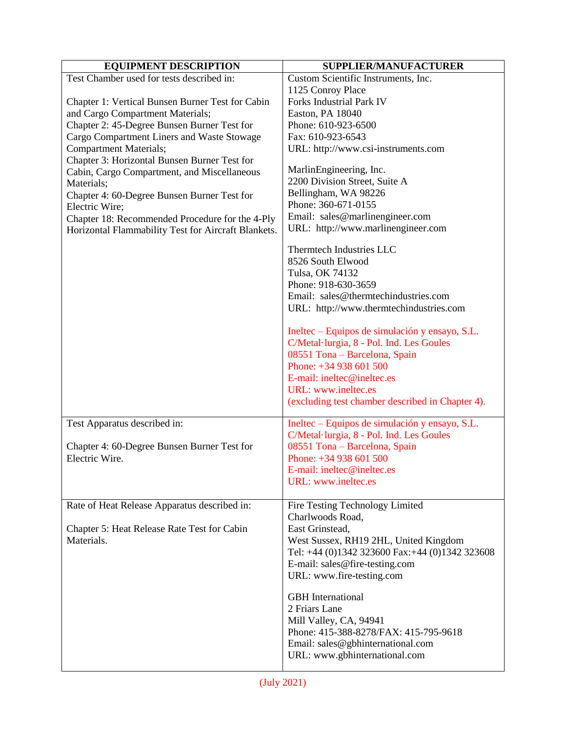| <b>EQUIPMENT DESCRIPTION</b>                              | SUPPLIER/MANUFACTURER                            |
|-----------------------------------------------------------|--------------------------------------------------|
| Test Chamber used for tests described in:                 | Custom Scientific Instruments, Inc.              |
|                                                           | 1125 Conroy Place                                |
| Chapter 1: Vertical Bunsen Burner Test for Cabin          | Forks Industrial Park IV                         |
| and Cargo Compartment Materials;                          | Easton, PA 18040                                 |
| Chapter 2: 45-Degree Bunsen Burner Test for               | Phone: 610-923-6500                              |
| Cargo Compartment Liners and Waste Stowage                | Fax: 610-923-6543                                |
| <b>Compartment Materials;</b>                             | URL: http://www.csi-instruments.com              |
| Chapter 3: Horizontal Bunsen Burner Test for              |                                                  |
| Cabin, Cargo Compartment, and Miscellaneous               | MarlinEngineering, Inc.                          |
| Materials;                                                | 2200 Division Street, Suite A                    |
| Chapter 4: 60-Degree Bunsen Burner Test for               | Bellingham, WA 98226                             |
| Electric Wire;                                            | Phone: 360-671-0155                              |
| Chapter 18: Recommended Procedure for the 4-Ply           | Email: sales@marlinengineer.com                  |
| Horizontal Flammability Test for Aircraft Blankets.       | URL: http://www.marlinengineer.com               |
|                                                           | Thermtech Industries LLC                         |
|                                                           | 8526 South Elwood                                |
|                                                           | Tulsa, OK 74132                                  |
|                                                           | Phone: 918-630-3659                              |
|                                                           | Email: sales@thermtechindustries.com             |
|                                                           | URL: http://www.thermtechindustries.com          |
|                                                           |                                                  |
|                                                           | Ineltec – Equipos de simulación y ensayo, S.L.   |
|                                                           | C/Metal·lurgia, 8 - Pol. Ind. Les Goules         |
|                                                           | 08551 Tona - Barcelona, Spain                    |
|                                                           | Phone: +34 938 601 500                           |
|                                                           | E-mail: ineltec@ineltec.es                       |
|                                                           | URL: www.ineltec.es                              |
|                                                           | (excluding test chamber described in Chapter 4). |
| Test Apparatus described in:                              | Ineltec - Equipos de simulación y ensayo, S.L.   |
|                                                           | C/Metal·lurgia, 8 - Pol. Ind. Les Goules         |
| Chapter 4: 60-Degree Bunsen Burner Test for               | 08551 Tona - Barcelona, Spain                    |
| Electric Wire.                                            | Phone: +34 938 601 500                           |
|                                                           | E-mail: ineltec@ineltec.es                       |
|                                                           | URL: www.ineltec.es                              |
| Rate of Heat Release Apparatus described in:              | Fire Testing Technology Limited                  |
|                                                           | Charlwoods Road,                                 |
|                                                           | East Grinstead,                                  |
| Chapter 5: Heat Release Rate Test for Cabin<br>Materials. | West Sussex, RH19 2HL, United Kingdom            |
|                                                           | Tel: +44 (0)1342 323600 Fax: +44 (0)1342 323608  |
|                                                           | E-mail: sales@fire-testing.com                   |
|                                                           | URL: www.fire-testing.com                        |
|                                                           |                                                  |
|                                                           | <b>GBH</b> International                         |
|                                                           | 2 Friars Lane                                    |
|                                                           | Mill Valley, CA, 94941                           |
|                                                           | Phone: 415-388-8278/FAX: 415-795-9618            |
|                                                           | Email: sales@gbhinternational.com                |
|                                                           | URL: www.gbhinternational.com                    |
|                                                           |                                                  |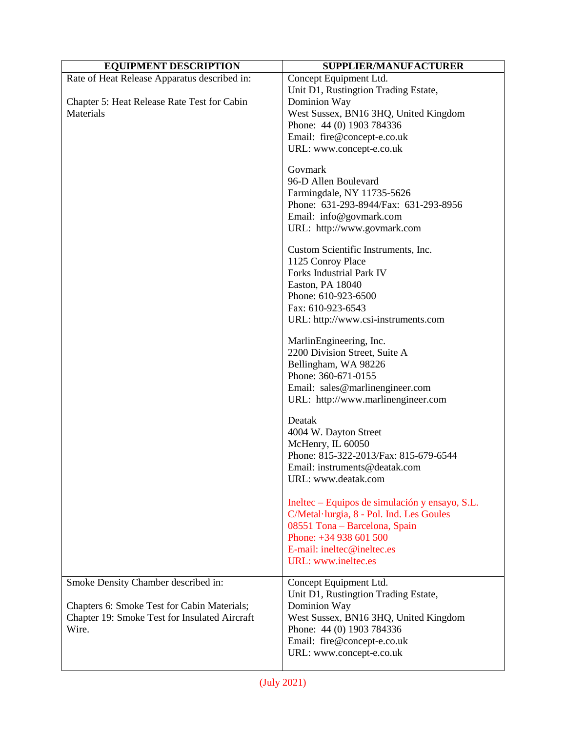| <b>EQUIPMENT DESCRIPTION</b>                                                                                                                 | SUPPLIER/MANUFACTURER                                                                                                                                                                                           |
|----------------------------------------------------------------------------------------------------------------------------------------------|-----------------------------------------------------------------------------------------------------------------------------------------------------------------------------------------------------------------|
| Rate of Heat Release Apparatus described in:<br>Chapter 5: Heat Release Rate Test for Cabin                                                  | Concept Equipment Ltd.<br>Unit D1, Rustingtion Trading Estate,<br>Dominion Way                                                                                                                                  |
| Materials                                                                                                                                    | West Sussex, BN16 3HQ, United Kingdom<br>Phone: 44 (0) 1903 784336<br>Email: fire@concept-e.co.uk                                                                                                               |
|                                                                                                                                              | URL: www.concept-e.co.uk                                                                                                                                                                                        |
|                                                                                                                                              | Govmark<br>96-D Allen Boulevard<br>Farmingdale, NY 11735-5626<br>Phone: 631-293-8944/Fax: 631-293-8956<br>Email: info@govmark.com<br>URL: http://www.govmark.com                                                |
|                                                                                                                                              | Custom Scientific Instruments, Inc.<br>1125 Conroy Place<br>Forks Industrial Park IV<br>Easton, PA 18040<br>Phone: 610-923-6500<br>Fax: 610-923-6543<br>URL: http://www.csi-instruments.com                     |
|                                                                                                                                              | MarlinEngineering, Inc.<br>2200 Division Street, Suite A<br>Bellingham, WA 98226<br>Phone: 360-671-0155<br>Email: sales@marlinengineer.com<br>URL: http://www.marlinengineer.com                                |
|                                                                                                                                              | Deatak<br>4004 W. Dayton Street<br>McHenry, IL 60050<br>Phone: 815-322-2013/Fax: 815-679-6544<br>Email: instruments@deatak.com<br>URL: www.deatak.com                                                           |
|                                                                                                                                              | Ineltec – Equipos de simulación y ensayo, S.L.<br>C/Metal·lurgia, 8 - Pol. Ind. Les Goules<br>08551 Tona - Barcelona, Spain<br>Phone: +34 938 601 500<br>E-mail: ineltec@ineltec.es<br>URL: www.ineltec.es      |
| Smoke Density Chamber described in:<br>Chapters 6: Smoke Test for Cabin Materials;<br>Chapter 19: Smoke Test for Insulated Aircraft<br>Wire. | Concept Equipment Ltd.<br>Unit D1, Rustingtion Trading Estate,<br>Dominion Way<br>West Sussex, BN16 3HQ, United Kingdom<br>Phone: 44 (0) 1903 784336<br>Email: fire@concept-e.co.uk<br>URL: www.concept-e.co.uk |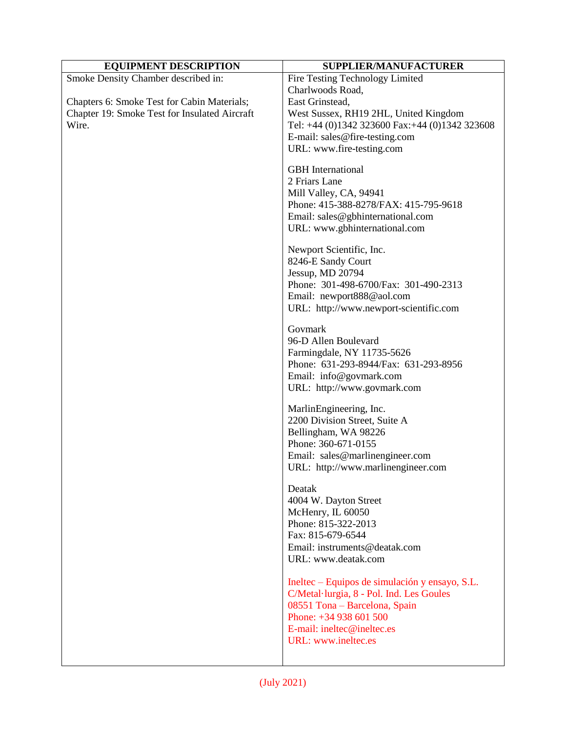| <b>EQUIPMENT DESCRIPTION</b>                  | <b>SUPPLIER/MANUFACTURER</b>                    |
|-----------------------------------------------|-------------------------------------------------|
| Smoke Density Chamber described in:           | Fire Testing Technology Limited                 |
|                                               | Charlwoods Road,                                |
| Chapters 6: Smoke Test for Cabin Materials;   | East Grinstead,                                 |
| Chapter 19: Smoke Test for Insulated Aircraft | West Sussex, RH19 2HL, United Kingdom           |
| Wire.                                         | Tel: +44 (0)1342 323600 Fax: +44 (0)1342 323608 |
|                                               | E-mail: sales@fire-testing.com                  |
|                                               | URL: www.fire-testing.com                       |
|                                               | <b>GBH</b> International<br>2 Friars Lane       |
|                                               | Mill Valley, CA, 94941                          |
|                                               | Phone: 415-388-8278/FAX: 415-795-9618           |
|                                               | Email: sales@gbhinternational.com               |
|                                               | URL: www.gbhinternational.com                   |
|                                               | Newport Scientific, Inc.                        |
|                                               | 8246-E Sandy Court<br>Jessup, MD 20794          |
|                                               | Phone: 301-498-6700/Fax: 301-490-2313           |
|                                               | Email: newport888@aol.com                       |
|                                               | URL: http://www.newport-scientific.com          |
|                                               | Govmark                                         |
|                                               | 96-D Allen Boulevard                            |
|                                               | Farmingdale, NY 11735-5626                      |
|                                               | Phone: 631-293-8944/Fax: 631-293-8956           |
|                                               | Email: info@govmark.com                         |
|                                               | URL: http://www.govmark.com                     |
|                                               | MarlinEngineering, Inc.                         |
|                                               | 2200 Division Street, Suite A                   |
|                                               | Bellingham, WA 98226                            |
|                                               | Phone: 360-671-0155                             |
|                                               | Email: sales@marlinengineer.com                 |
|                                               | URL: http://www.marlinengineer.com              |
|                                               | Deatak                                          |
|                                               | 4004 W. Dayton Street                           |
|                                               | McHenry, IL 60050<br>Phone: 815-322-2013        |
|                                               | Fax: 815-679-6544                               |
|                                               | Email: instruments@deatak.com                   |
|                                               | URL: www.deatak.com                             |
|                                               | Ineltec – Equipos de simulación y ensayo, S.L.  |
|                                               | C/Metal·lurgia, 8 - Pol. Ind. Les Goules        |
|                                               | 08551 Tona - Barcelona, Spain                   |
|                                               | Phone: +34 938 601 500                          |
|                                               | E-mail: ineltec@ineltec.es                      |
|                                               | URL: www.ineltec.es                             |
|                                               |                                                 |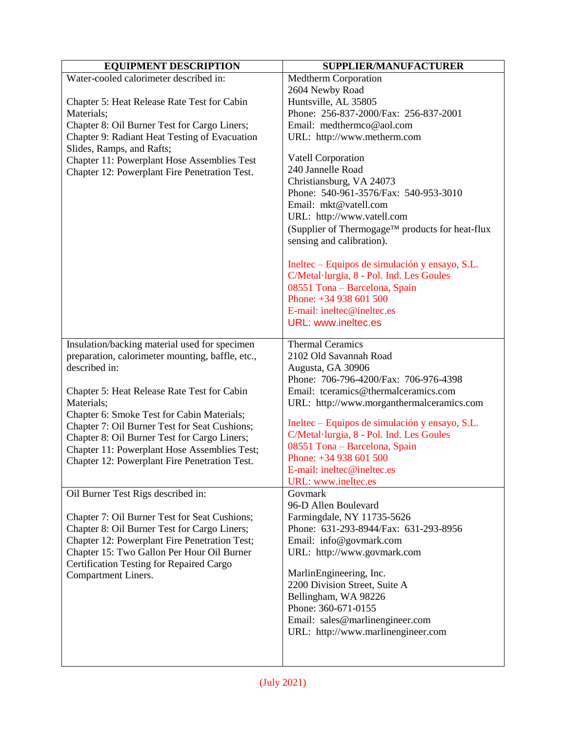| <b>EQUIPMENT DESCRIPTION</b>                                                                 | SUPPLIER/MANUFACTURER                           |
|----------------------------------------------------------------------------------------------|-------------------------------------------------|
| Water-cooled calorimeter described in:                                                       | <b>Medtherm Corporation</b>                     |
|                                                                                              | 2604 Newby Road                                 |
| Chapter 5: Heat Release Rate Test for Cabin                                                  | Huntsville, AL 35805                            |
| Materials;                                                                                   | Phone: 256-837-2000/Fax: 256-837-2001           |
| Chapter 8: Oil Burner Test for Cargo Liners;                                                 | Email: medthermco@aol.com                       |
| Chapter 9: Radiant Heat Testing of Evacuation                                                | URL: http://www.metherm.com                     |
| Slides, Ramps, and Rafts;                                                                    |                                                 |
| Chapter 11: Powerplant Hose Assemblies Test                                                  | <b>Vatell Corporation</b><br>240 Jannelle Road  |
| Chapter 12: Powerplant Fire Penetration Test.                                                | Christiansburg, VA 24073                        |
|                                                                                              | Phone: 540-961-3576/Fax: 540-953-3010           |
|                                                                                              | Email: mkt@vatell.com                           |
|                                                                                              | URL: http://www.vatell.com                      |
|                                                                                              | (Supplier of Thermogage™ products for heat-flux |
|                                                                                              | sensing and calibration).                       |
|                                                                                              | Ineltec – Equipos de simulación y ensayo, S.L.  |
|                                                                                              | C/Metal·lurgia, 8 - Pol. Ind. Les Goules        |
|                                                                                              | 08551 Tona - Barcelona, Spain                   |
|                                                                                              | Phone: +34 938 601 500                          |
|                                                                                              | E-mail: ineltec@ineltec.es                      |
|                                                                                              | <b>URL: www.ineltec.es</b>                      |
| Insulation/backing material used for specimen                                                | <b>Thermal Ceramics</b>                         |
| preparation, calorimeter mounting, baffle, etc.,                                             | 2102 Old Savannah Road                          |
| described in:                                                                                | Augusta, GA 30906                               |
|                                                                                              | Phone: 706-796-4200/Fax: 706-976-4398           |
| Chapter 5: Heat Release Rate Test for Cabin                                                  | Email: tceramics@thermalceramics.com            |
| Materials;                                                                                   | URL: http://www.morganthermalceramics.com       |
| Chapter 6: Smoke Test for Cabin Materials;                                                   | Ineltec – Equipos de simulación y ensayo, S.L.  |
| Chapter 7: Oil Burner Test for Seat Cushions;                                                | C/Metal·lurgia, 8 - Pol. Ind. Les Goules        |
| Chapter 8: Oil Burner Test for Cargo Liners;<br>Chapter 11: Powerplant Hose Assemblies Test; | 08551 Tona - Barcelona, Spain                   |
| Chapter 12: Powerplant Fire Penetration Test.                                                | Phone: +34 938 601 500                          |
|                                                                                              | E-mail: ineltec@ineltec.es                      |
|                                                                                              | URL: www.ineltec.es                             |
| Oil Burner Test Rigs described in:                                                           | Govmark                                         |
|                                                                                              | 96-D Allen Boulevard                            |
| Chapter 7: Oil Burner Test for Seat Cushions;                                                | Farmingdale, NY 11735-5626                      |
| Chapter 8: Oil Burner Test for Cargo Liners;                                                 | Phone: 631-293-8944/Fax: 631-293-8956           |
| Chapter 12: Powerplant Fire Penetration Test;                                                | Email: info@govmark.com                         |
| Chapter 15: Two Gallon Per Hour Oil Burner                                                   | URL: http://www.govmark.com                     |
| Certification Testing for Repaired Cargo                                                     | MarlinEngineering, Inc.                         |
| Compartment Liners.                                                                          | 2200 Division Street, Suite A                   |
|                                                                                              | Bellingham, WA 98226                            |
|                                                                                              | Phone: 360-671-0155                             |
|                                                                                              | Email: sales@marlinengineer.com                 |
|                                                                                              | URL: http://www.marlinengineer.com              |
|                                                                                              |                                                 |
|                                                                                              |                                                 |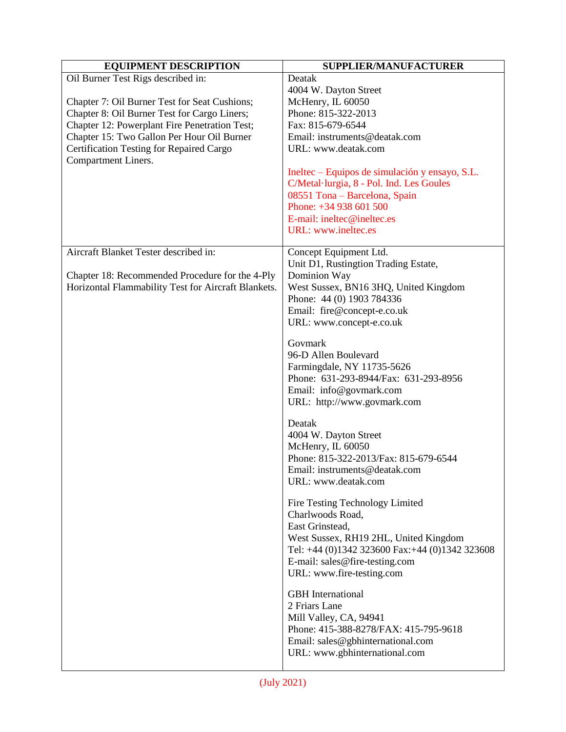| <b>EQUIPMENT DESCRIPTION</b>                        | SUPPLIER/MANUFACTURER                                |
|-----------------------------------------------------|------------------------------------------------------|
| Oil Burner Test Rigs described in:                  | Deatak                                               |
|                                                     | 4004 W. Dayton Street                                |
| Chapter 7: Oil Burner Test for Seat Cushions;       | McHenry, IL 60050                                    |
| Chapter 8: Oil Burner Test for Cargo Liners;        | Phone: 815-322-2013                                  |
| Chapter 12: Powerplant Fire Penetration Test;       | Fax: 815-679-6544                                    |
| Chapter 15: Two Gallon Per Hour Oil Burner          | Email: instruments@deatak.com                        |
| Certification Testing for Repaired Cargo            | URL: www.deatak.com                                  |
| Compartment Liners.                                 |                                                      |
|                                                     | Ineltec – Equipos de simulación y ensayo, S.L.       |
|                                                     | C/Metal·lurgia, 8 - Pol. Ind. Les Goules             |
|                                                     | 08551 Tona - Barcelona, Spain                        |
|                                                     | Phone: +34 938 601 500                               |
|                                                     | E-mail: ineltec@ineltec.es                           |
|                                                     | <b>URL:</b> www.ineltec.es                           |
| Aircraft Blanket Tester described in:               |                                                      |
|                                                     | Concept Equipment Ltd.                               |
| Chapter 18: Recommended Procedure for the 4-Ply     | Unit D1, Rustingtion Trading Estate,<br>Dominion Way |
| Horizontal Flammability Test for Aircraft Blankets. | West Sussex, BN16 3HQ, United Kingdom                |
|                                                     | Phone: 44 (0) 1903 784336                            |
|                                                     | Email: fire@concept-e.co.uk                          |
|                                                     | URL: www.concept-e.co.uk                             |
|                                                     |                                                      |
|                                                     | Govmark                                              |
|                                                     | 96-D Allen Boulevard                                 |
|                                                     | Farmingdale, NY 11735-5626                           |
|                                                     | Phone: 631-293-8944/Fax: 631-293-8956                |
|                                                     | Email: info@govmark.com                              |
|                                                     | URL: http://www.govmark.com                          |
|                                                     |                                                      |
|                                                     | Deatak                                               |
|                                                     | 4004 W. Dayton Street                                |
|                                                     | McHenry, IL 60050                                    |
|                                                     | Phone: 815-322-2013/Fax: 815-679-6544                |
|                                                     | Email: instruments@deatak.com<br>URL: www.deatak.com |
|                                                     |                                                      |
|                                                     | Fire Testing Technology Limited                      |
|                                                     | Charlwoods Road,                                     |
|                                                     | East Grinstead,                                      |
|                                                     | West Sussex, RH19 2HL, United Kingdom                |
|                                                     | Tel: +44 (0)1342 323600 Fax: +44 (0)1342 323608      |
|                                                     | E-mail: sales@fire-testing.com                       |
|                                                     | URL: www.fire-testing.com                            |
|                                                     |                                                      |
|                                                     | <b>GBH</b> International                             |
|                                                     | 2 Friars Lane                                        |
|                                                     | Mill Valley, CA, 94941                               |
|                                                     | Phone: 415-388-8278/FAX: 415-795-9618                |
|                                                     | Email: sales@gbhinternational.com                    |
|                                                     | URL: www.gbhinternational.com                        |
|                                                     |                                                      |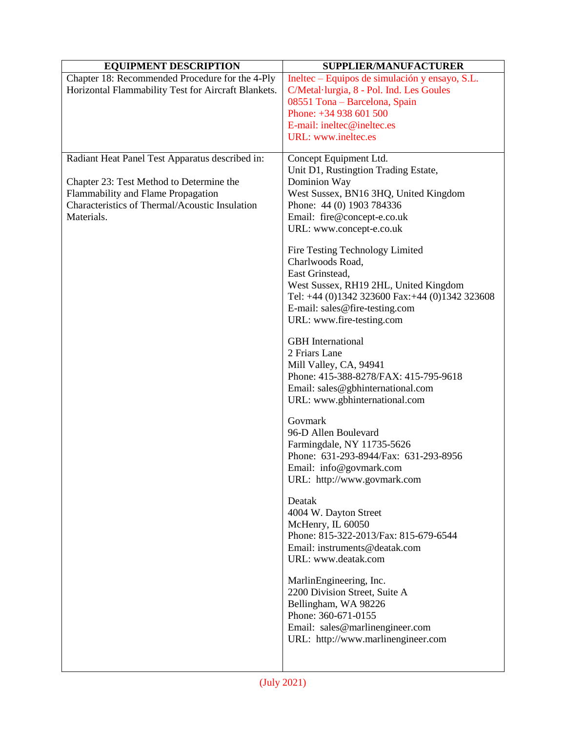| <b>EQUIPMENT DESCRIPTION</b>                                                                           | <b>SUPPLIER/MANUFACTURER</b>                                                               |
|--------------------------------------------------------------------------------------------------------|--------------------------------------------------------------------------------------------|
| Chapter 18: Recommended Procedure for the 4-Ply<br>Horizontal Flammability Test for Aircraft Blankets. | Ineltec – Equipos de simulación y ensayo, S.L.<br>C/Metal·lurgia, 8 - Pol. Ind. Les Goules |
|                                                                                                        | 08551 Tona - Barcelona, Spain                                                              |
|                                                                                                        | Phone: +34 938 601 500                                                                     |
|                                                                                                        | E-mail: ineltec@ineltec.es                                                                 |
|                                                                                                        | URL: www.ineltec.es                                                                        |
| Radiant Heat Panel Test Apparatus described in:                                                        | Concept Equipment Ltd.                                                                     |
|                                                                                                        | Unit D1, Rustingtion Trading Estate,                                                       |
| Chapter 23: Test Method to Determine the                                                               | Dominion Way                                                                               |
| Flammability and Flame Propagation                                                                     | West Sussex, BN16 3HQ, United Kingdom                                                      |
| Characteristics of Thermal/Acoustic Insulation                                                         | Phone: 44 (0) 1903 784336                                                                  |
| Materials.                                                                                             | Email: fire@concept-e.co.uk                                                                |
|                                                                                                        | URL: www.concept-e.co.uk                                                                   |
|                                                                                                        | Fire Testing Technology Limited                                                            |
|                                                                                                        | Charlwoods Road,                                                                           |
|                                                                                                        | East Grinstead,                                                                            |
|                                                                                                        | West Sussex, RH19 2HL, United Kingdom<br>Tel: +44 (0)1342 323600 Fax: +44 (0)1342 323608   |
|                                                                                                        | E-mail: sales@fire-testing.com                                                             |
|                                                                                                        | URL: www.fire-testing.com                                                                  |
|                                                                                                        |                                                                                            |
|                                                                                                        | <b>GBH</b> International<br>2 Friars Lane                                                  |
|                                                                                                        | Mill Valley, CA, 94941                                                                     |
|                                                                                                        | Phone: 415-388-8278/FAX: 415-795-9618                                                      |
|                                                                                                        | Email: sales@gbhinternational.com                                                          |
|                                                                                                        | URL: www.gbhinternational.com                                                              |
|                                                                                                        |                                                                                            |
|                                                                                                        | Govmark                                                                                    |
|                                                                                                        | 96-D Allen Boulevard<br>Farmingdale, NY 11735-5626                                         |
|                                                                                                        | Phone: 631-293-8944/Fax: 631-293-8956                                                      |
|                                                                                                        | Email: info@govmark.com                                                                    |
|                                                                                                        | URL: http://www.govmark.com                                                                |
|                                                                                                        | Deatak                                                                                     |
|                                                                                                        | 4004 W. Dayton Street                                                                      |
|                                                                                                        | McHenry, IL 60050                                                                          |
|                                                                                                        | Phone: 815-322-2013/Fax: 815-679-6544                                                      |
|                                                                                                        | Email: instruments@deatak.com                                                              |
|                                                                                                        | URL: www.deatak.com                                                                        |
|                                                                                                        | MarlinEngineering, Inc.                                                                    |
|                                                                                                        | 2200 Division Street, Suite A                                                              |
|                                                                                                        | Bellingham, WA 98226                                                                       |
|                                                                                                        | Phone: 360-671-0155                                                                        |
|                                                                                                        | Email: sales@marlinengineer.com                                                            |
|                                                                                                        | URL: http://www.marlinengineer.com                                                         |
|                                                                                                        |                                                                                            |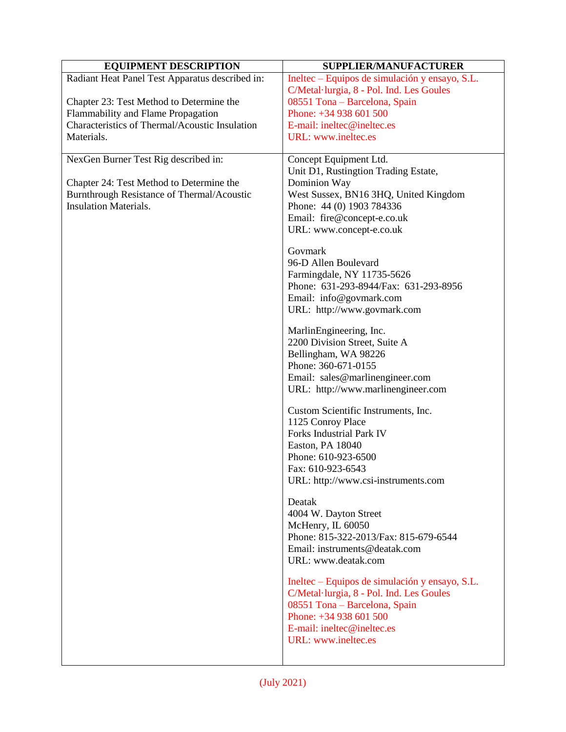| <b>EQUIPMENT DESCRIPTION</b>                                                         | SUPPLIER/MANUFACTURER                                                                      |
|--------------------------------------------------------------------------------------|--------------------------------------------------------------------------------------------|
| Radiant Heat Panel Test Apparatus described in:                                      | Ineltec – Equipos de simulación y ensayo, S.L.<br>C/Metal·lurgia, 8 - Pol. Ind. Les Goules |
| Chapter 23: Test Method to Determine the                                             | 08551 Tona - Barcelona, Spain                                                              |
| Flammability and Flame Propagation<br>Characteristics of Thermal/Acoustic Insulation | Phone: +34 938 601 500<br>E-mail: ineltec@ineltec.es                                       |
| Materials.                                                                           | URL: www.ineltec.es                                                                        |
|                                                                                      |                                                                                            |
| NexGen Burner Test Rig described in:                                                 | Concept Equipment Ltd.<br>Unit D1, Rustingtion Trading Estate,                             |
| Chapter 24: Test Method to Determine the                                             | Dominion Way                                                                               |
| Burnthrough Resistance of Thermal/Acoustic<br><b>Insulation Materials.</b>           | West Sussex, BN16 3HQ, United Kingdom                                                      |
|                                                                                      | Phone: 44 (0) 1903 784336<br>Email: fire@concept-e.co.uk                                   |
|                                                                                      | URL: www.concept-e.co.uk                                                                   |
|                                                                                      | Govmark<br>96-D Allen Boulevard                                                            |
|                                                                                      | Farmingdale, NY 11735-5626                                                                 |
|                                                                                      | Phone: 631-293-8944/Fax: 631-293-8956                                                      |
|                                                                                      | Email: info@govmark.com                                                                    |
|                                                                                      | URL: http://www.govmark.com                                                                |
|                                                                                      | MarlinEngineering, Inc.                                                                    |
|                                                                                      | 2200 Division Street, Suite A                                                              |
|                                                                                      | Bellingham, WA 98226                                                                       |
|                                                                                      | Phone: 360-671-0155<br>Email: sales@marlinengineer.com                                     |
|                                                                                      | URL: http://www.marlinengineer.com                                                         |
|                                                                                      | Custom Scientific Instruments, Inc.                                                        |
|                                                                                      | 1125 Conroy Place<br>Forks Industrial Park IV                                              |
|                                                                                      | Easton, PA 18040                                                                           |
|                                                                                      | Phone: 610-923-6500                                                                        |
|                                                                                      | Fax: 610-923-6543                                                                          |
|                                                                                      | URL: http://www.csi-instruments.com                                                        |
|                                                                                      | Deatak<br>4004 W. Dayton Street                                                            |
|                                                                                      | McHenry, IL 60050                                                                          |
|                                                                                      | Phone: 815-322-2013/Fax: 815-679-6544                                                      |
|                                                                                      | Email: instruments@deatak.com                                                              |
|                                                                                      | URL: www.deatak.com                                                                        |
|                                                                                      | Ineltec – Equipos de simulación y ensayo, S.L.<br>C/Metal·lurgia, 8 - Pol. Ind. Les Goules |
|                                                                                      | 08551 Tona - Barcelona, Spain                                                              |
|                                                                                      | Phone: +34 938 601 500                                                                     |
|                                                                                      | E-mail: ineltec@ineltec.es                                                                 |
|                                                                                      | URL: www.ineltec.es                                                                        |
|                                                                                      |                                                                                            |